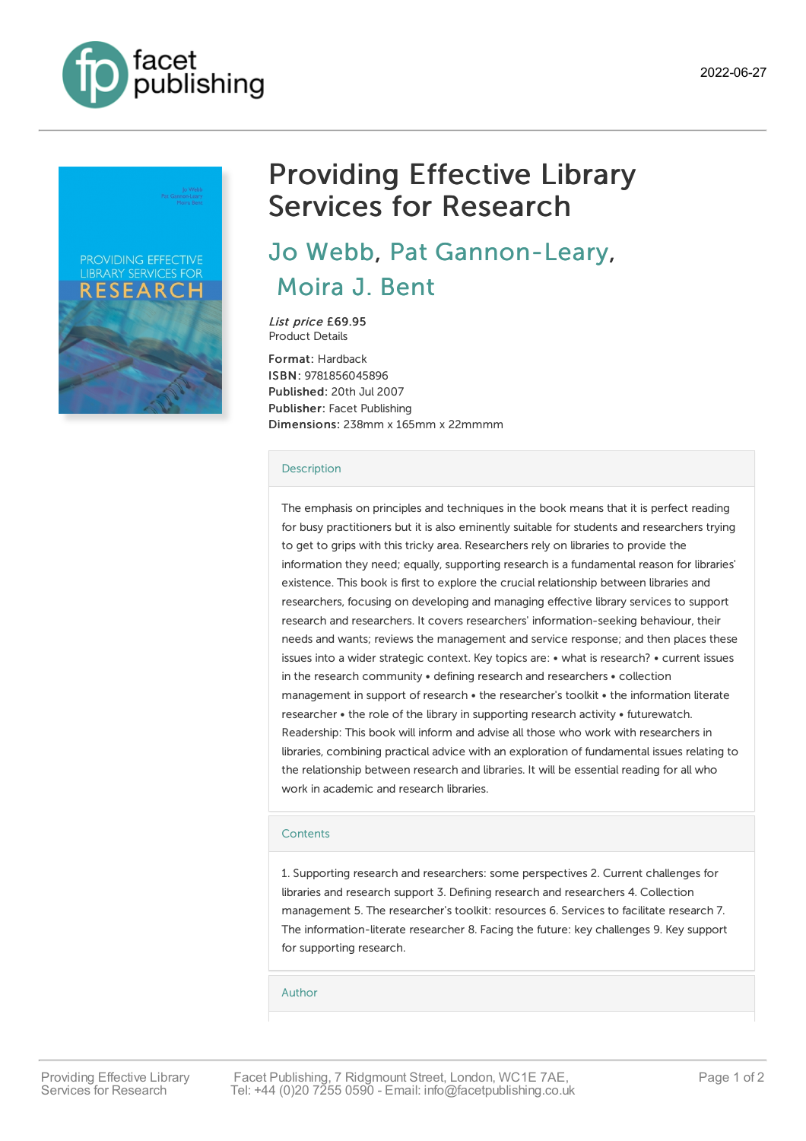



## Providing Effective Library Services for Research

Jo [Webb](https://www.facetpublishing.co.uk/page/author-detail/?SF1=contributor&ST1=Jo%20Webb), Pat [Gannon-Leary](https://www.facetpublishing.co.uk/page/author-detail/?SF1=contributor&ST1=Pat%20Gannon-Leary), [Moira](https://www.facetpublishing.co.uk/page/author-detail/?SF1=contributor&ST1=Moira%20J.%20Bent) J. Bent

List price £69.95 Product Details

Format: Hardback ISBN: 9781856045896 Published: 20th Jul 2007 Publisher: Facet Publishing Dimensions: 238mm x 165mm x 22mmmm

## [Description](javascript:void(0);)

The emphasis on principles and techniques in the book means that it is perfect reading for busy practitioners but it is also eminently suitable for students and researchers trying to get to grips with this tricky area. Researchers rely on libraries to provide the information they need; equally, supporting research is a fundamental reason for libraries' existence. This book is first to explore the crucial relationship between libraries and researchers, focusing on developing and managing effective library services to support research and researchers. It covers researchers' information-seeking behaviour, their needs and wants; reviews the management and service response; and then places these issues into a wider strategic context. Key topics are: • what is research? • current issues in the research community • defining research and researchers • collection management in support of research • the researcher's toolkit • the information literate researcher • the role of the library in supporting research activity • futurewatch. Readership: This book will inform and advise all those who work with researchers in libraries, combining practical advice with an exploration of fundamental issues relating to the relationship between research and libraries. It will be essential reading for all who work in academic and research libraries.

## **[Contents](javascript:void(0);)**

1. Supporting research and researchers: some perspectives 2. Current challenges for libraries and research support 3. Defining research and researchers 4. Collection management 5. The researcher's toolkit: resources 6. Services to facilitate research 7. The information-literate researcher 8. Facing the future: key challenges 9. Key support for supporting research.

[Author](javascript:void(0);)